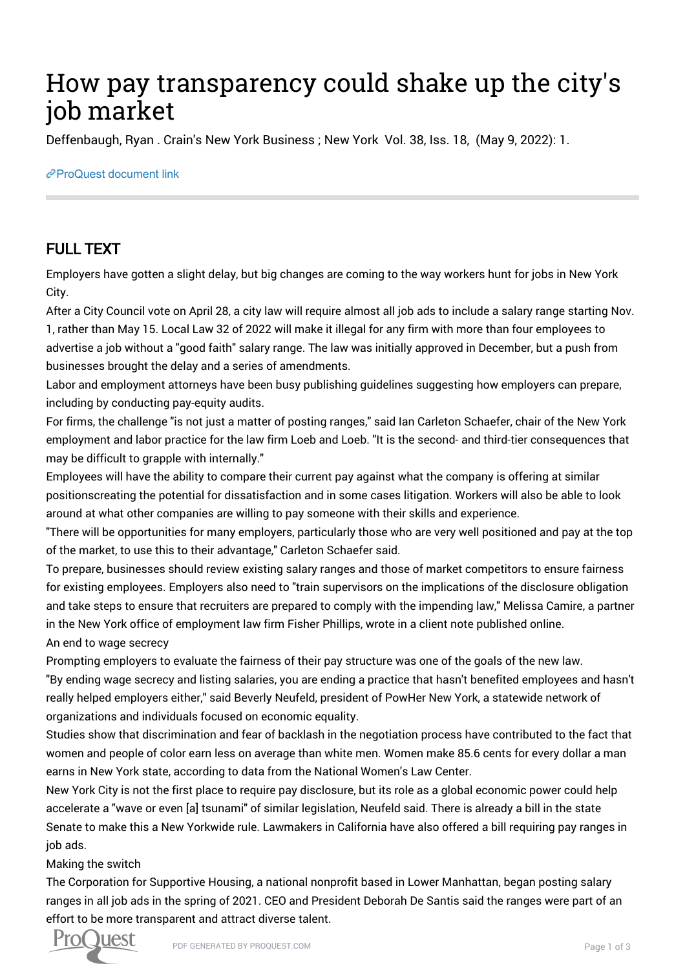## How pay transparency could shake up the city's job market

Deffenbaugh, Ryan . Crain's New York Business ; New York Vol. 38, Iss. 18, (May 9, 2022): 1.

## [ProQuest document link](https://www.proquest.com/trade-journals/how-pay-transparency-could-shake-up-citys-job/docview/2662852530/se-2?accountid=44910)

## FULL TEXT

Employers have gotten a slight delay, but big changes are coming to the way workers hunt for jobs in New York City.

After a City Council vote on April 28, a city law will require almost all job ads to include a salary range starting Nov. 1, rather than May 15. Local Law 32 of 2022 will make it illegal for any firm with more than four employees to advertise a job without a "good faith" salary range. The law was initially approved in December, but a push from businesses brought the delay and a series of amendments.

Labor and employment attorneys have been busy publishing guidelines suggesting how employers can prepare, including by conducting pay-equity audits.

For firms, the challenge "is not just a matter of posting ranges," said Ian Carleton Schaefer, chair of the New York employment and labor practice for the law firm Loeb and Loeb. "It is the second- and third-tier consequences that may be difficult to grapple with internally."

Employees will have the ability to compare their current pay against what the company is offering at similar positionscreating the potential for dissatisfaction and in some cases litigation. Workers will also be able to look around at what other companies are willing to pay someone with their skills and experience.

"There will be opportunities for many employers, particularly those who are very well positioned and pay at the top of the market, to use this to their advantage," Carleton Schaefer said.

To prepare, businesses should review existing salary ranges and those of market competitors to ensure fairness for existing employees. Employers also need to "train supervisors on the implications of the disclosure obligation and take steps to ensure that recruiters are prepared to comply with the impending law," Melissa Camire, a partner in the New York office of employment law firm Fisher Phillips, wrote in a client note published online. An end to wage secrecy

Prompting employers to evaluate the fairness of their pay structure was one of the goals of the new law. "By ending wage secrecy and listing salaries, you are ending a practice that hasn't benefited employees and hasn't really helped employers either," said Beverly Neufeld, president of PowHer New York, a statewide network of organizations and individuals focused on economic equality.

Studies show that discrimination and fear of backlash in the negotiation process have contributed to the fact that women and people of color earn less on average than white men. Women make 85.6 cents for every dollar a man earns in New York state, according to data from the National Women's Law Center.

New York City is not the first place to require pay disclosure, but its role as a global economic power could help accelerate a "wave or even [a] tsunami" of similar legislation, Neufeld said. There is already a bill in the state Senate to make this a New Yorkwide rule. Lawmakers in California have also offered a bill requiring pay ranges in job ads.

Making the switch

The Corporation for Supportive Housing, a national nonprofit based in Lower Manhattan, began posting salary ranges in all job ads in the spring of 2021. CEO and President Deborah De Santis said the ranges were part of an effort to be more transparent and attract diverse talent.

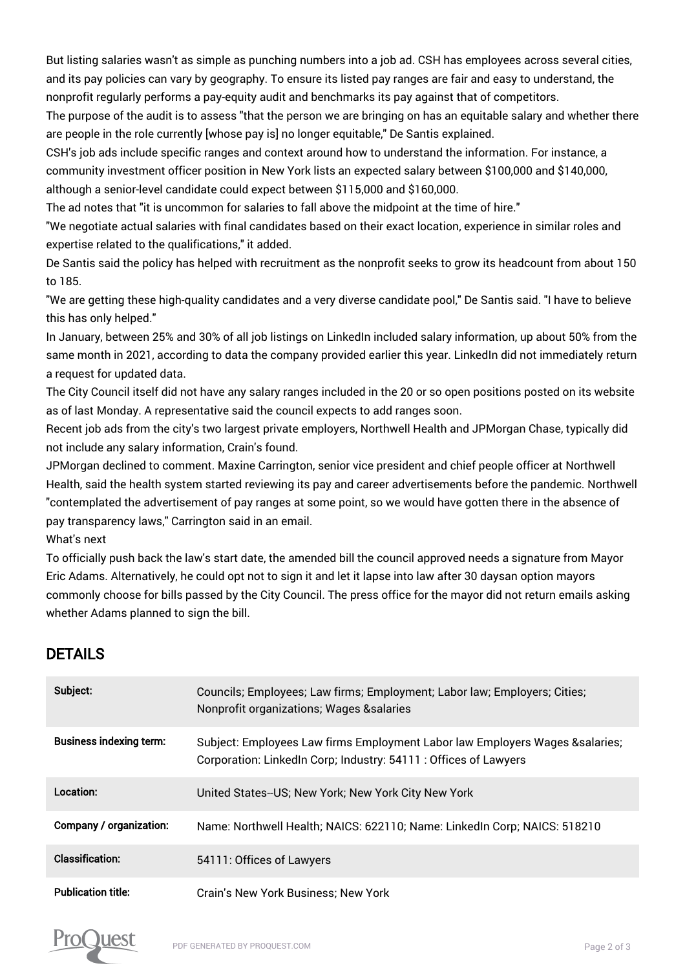But listing salaries wasn't as simple as punching numbers into a job ad. CSH has employees across several cities, and its pay policies can vary by geography. To ensure its listed pay ranges are fair and easy to understand, the nonprofit regularly performs a pay-equity audit and benchmarks its pay against that of competitors.

The purpose of the audit is to assess "that the person we are bringing on has an equitable salary and whether there are people in the role currently [whose pay is] no longer equitable," De Santis explained.

CSH's job ads include specific ranges and context around how to understand the information. For instance, a community investment officer position in New York lists an expected salary between \$100,000 and \$140,000, although a senior-level candidate could expect between \$115,000 and \$160,000.

The ad notes that "it is uncommon for salaries to fall above the midpoint at the time of hire."

"We negotiate actual salaries with final candidates based on their exact location, experience in similar roles and expertise related to the qualifications," it added.

De Santis said the policy has helped with recruitment as the nonprofit seeks to grow its headcount from about 150 to 185.

"We are getting these high-quality candidates and a very diverse candidate pool," De Santis said. "I have to believe this has only helped."

In January, between 25% and 30% of all job listings on LinkedIn included salary information, up about 50% from the same month in 2021, according to data the company provided earlier this year. LinkedIn did not immediately return a request for updated data.

The City Council itself did not have any salary ranges included in the 20 or so open positions posted on its website as of last Monday. A representative said the council expects to add ranges soon.

Recent job ads from the city's two largest private employers, Northwell Health and JPMorgan Chase, typically did not include any salary information, Crain's found.

JPMorgan declined to comment. Maxine Carrington, senior vice president and chief people officer at Northwell Health, said the health system started reviewing its pay and career advertisements before the pandemic. Northwell "contemplated the advertisement of pay ranges at some point, so we would have gotten there in the absence of pay transparency laws," Carrington said in an email.

What's next

To officially push back the law's start date, the amended bill the council approved needs a signature from Mayor Eric Adams. Alternatively, he could opt not to sign it and let it lapse into law after 30 daysan option mayors commonly choose for bills passed by the City Council. The press office for the mayor did not return emails asking whether Adams planned to sign the bill.

## DETAILS

| Subject:                       | Councils; Employees; Law firms; Employment; Labor law; Employers; Cities;<br><b>Nonprofit organizations; Wages &amp;salaries</b>                  |
|--------------------------------|---------------------------------------------------------------------------------------------------------------------------------------------------|
| <b>Business indexing term:</b> | Subject: Employees Law firms Employment Labor law Employers Wages & salaries;<br>Corporation: LinkedIn Corp; Industry: 54111 : Offices of Lawyers |
| Location:                      | United States--US; New York; New York City New York                                                                                               |
| <b>Company / organization:</b> | Name: Northwell Health; NAICS: 622110; Name: LinkedIn Corp; NAICS: 518210                                                                         |
| <b>Classification:</b>         | 54111: Offices of Lawyers                                                                                                                         |
| <b>Publication title:</b>      | Crain's New York Business; New York                                                                                                               |